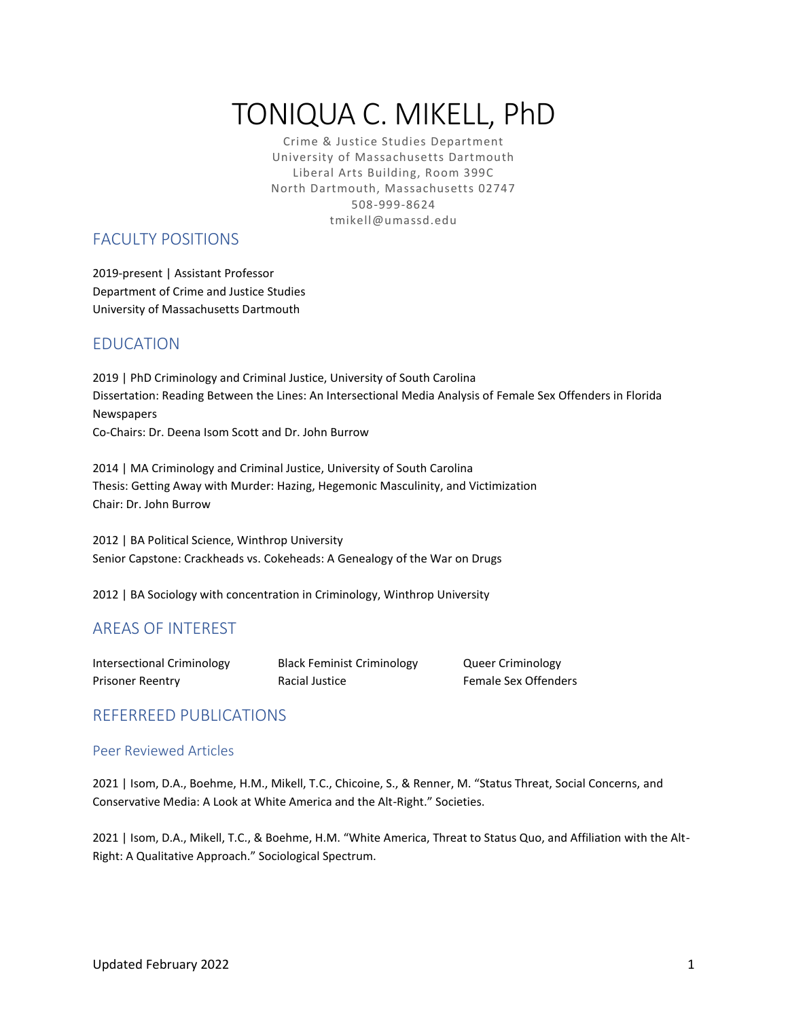# TONIQUA C. MIKELL, PhD

Crime & Justice Studies Department University of Massachusetts Dartmouth Liberal Arts Building, Room 399C North Dartmouth, Massachusetts 02747 508-999-8624 tmikell@umassd.edu

# FACULTY POSITIONS

2019-present | Assistant Professor Department of Crime and Justice Studies University of Massachusetts Dartmouth

# EDUCATION

2019 | PhD Criminology and Criminal Justice, University of South Carolina Dissertation: Reading Between the Lines: An Intersectional Media Analysis of Female Sex Offenders in Florida Newspapers Co-Chairs: Dr. Deena Isom Scott and Dr. John Burrow

2014 | MA Criminology and Criminal Justice, University of South Carolina Thesis: Getting Away with Murder: Hazing, Hegemonic Masculinity, and Victimization Chair: Dr. John Burrow

2012 | BA Political Science, Winthrop University Senior Capstone: Crackheads vs. Cokeheads: A Genealogy of the War on Drugs

2012 | BA Sociology with concentration in Criminology, Winthrop University

# AREAS OF INTEREST

| Intersectional Criminology |
|----------------------------|
| <b>Prisoner Reentry</b>    |

Black Feminist Criminology **Queer Criminology Principal Justice Racial Justice Reented Reented Female Sex Offenders** 

## REFERREED PUBLICATIONS

## Peer Reviewed Articles

2021 | Isom, D.A., Boehme, H.M., Mikell, T.C., Chicoine, S., & Renner, M. "Status Threat, Social Concerns, and Conservative Media: A Look at White America and the Alt-Right." Societies.

2021 | Isom, D.A., Mikell, T.C., & Boehme, H.M. "White America, Threat to Status Quo, and Affiliation with the Alt-Right: A Qualitative Approach." Sociological Spectrum.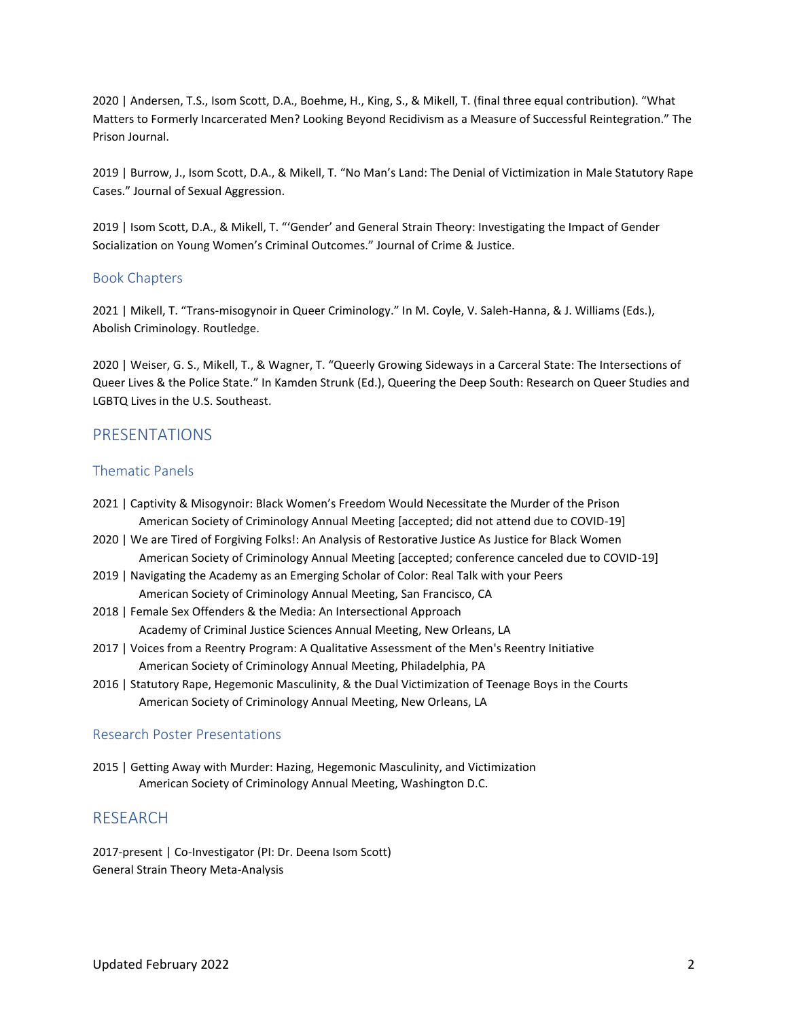2020 | Andersen, T.S., Isom Scott, D.A., Boehme, H., King, S., & Mikell, T. (final three equal contribution). "What Matters to Formerly Incarcerated Men? Looking Beyond Recidivism as a Measure of Successful Reintegration." The Prison Journal.

2019 | Burrow, J., Isom Scott, D.A., & Mikell, T. "No Man's Land: The Denial of Victimization in Male Statutory Rape Cases." Journal of Sexual Aggression.

2019 | Isom Scott, D.A., & Mikell, T. "'Gender' and General Strain Theory: Investigating the Impact of Gender Socialization on Young Women's Criminal Outcomes." Journal of Crime & Justice.

#### Book Chapters

2021 | Mikell, T. "Trans-misogynoir in Queer Criminology." In M. Coyle, V. Saleh-Hanna, & J. Williams (Eds.), Abolish Criminology. Routledge.

2020 | Weiser, G. S., Mikell, T., & Wagner, T. "Queerly Growing Sideways in a Carceral State: The Intersections of Queer Lives & the Police State." In Kamden Strunk (Ed.), Queering the Deep South: Research on Queer Studies and LGBTQ Lives in the U.S. Southeast.

## PRESENTATIONS

### Thematic Panels

- 2021 | Captivity & Misogynoir: Black Women's Freedom Would Necessitate the Murder of the Prison American Society of Criminology Annual Meeting [accepted; did not attend due to COVID-19]
- 2020 | We are Tired of Forgiving Folks!: An Analysis of Restorative Justice As Justice for Black Women American Society of Criminology Annual Meeting [accepted; conference canceled due to COVID-19]
- 2019 | Navigating the Academy as an Emerging Scholar of Color: Real Talk with your Peers American Society of Criminology Annual Meeting, San Francisco, CA
- 2018 | Female Sex Offenders & the Media: An Intersectional Approach Academy of Criminal Justice Sciences Annual Meeting, New Orleans, LA
- 2017 | Voices from a Reentry Program: A Qualitative Assessment of the Men's Reentry Initiative American Society of Criminology Annual Meeting, Philadelphia, PA
- 2016 | Statutory Rape, Hegemonic Masculinity, & the Dual Victimization of Teenage Boys in the Courts American Society of Criminology Annual Meeting, New Orleans, LA

## Research Poster Presentations

2015 | Getting Away with Murder: Hazing, Hegemonic Masculinity, and Victimization American Society of Criminology Annual Meeting, Washington D.C.

## RESEARCH

2017-present | Co-Investigator (PI: Dr. Deena Isom Scott) General Strain Theory Meta-Analysis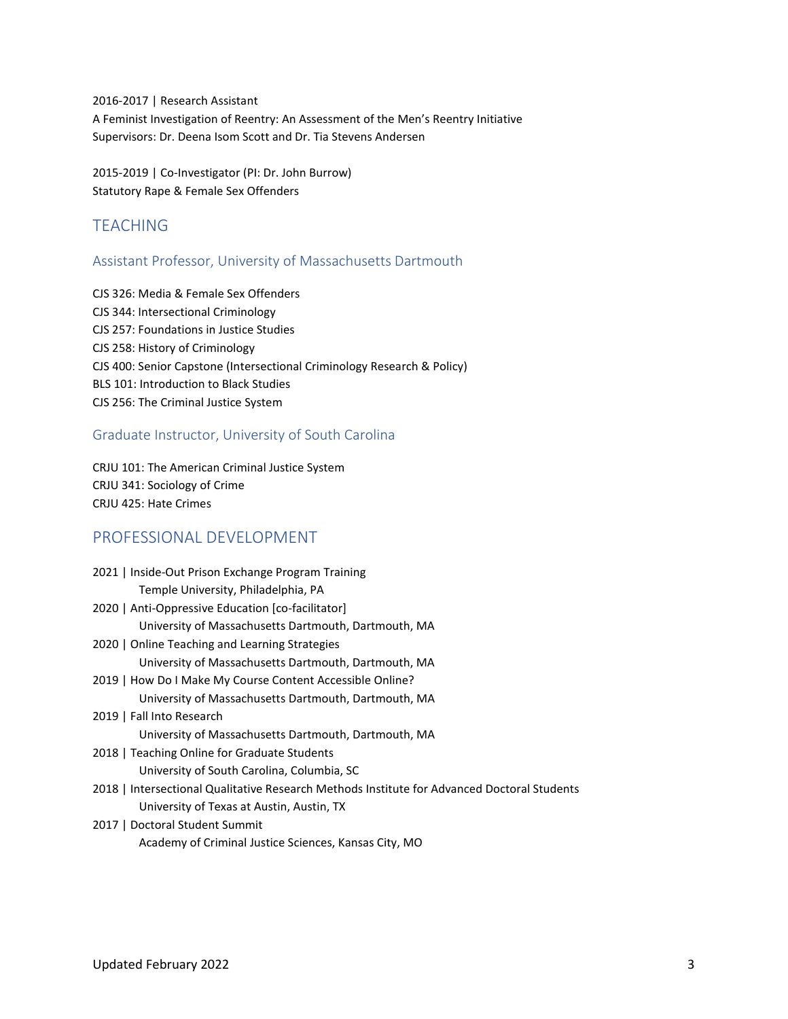2016-2017 | Research Assistant A Feminist Investigation of Reentry: An Assessment of the Men's Reentry Initiative Supervisors: Dr. Deena Isom Scott and Dr. Tia Stevens Andersen

2015-2019 | Co-Investigator (PI: Dr. John Burrow) Statutory Rape & Female Sex Offenders

# **TFACHING**

## Assistant Professor, University of Massachusetts Dartmouth

CJS 326: Media & Female Sex Offenders CJS 344: Intersectional Criminology CJS 257: Foundations in Justice Studies CJS 258: History of Criminology CJS 400: Senior Capstone (Intersectional Criminology Research & Policy) BLS 101: Introduction to Black Studies CJS 256: The Criminal Justice System

## Graduate Instructor, University of South Carolina

CRJU 101: The American Criminal Justice System CRJU 341: Sociology of Crime CRJU 425: Hate Crimes

## PROFESSIONAL DEVELOPMENT

| 2021   Inside-Out Prison Exchange Program Training                                          |
|---------------------------------------------------------------------------------------------|
| Temple University, Philadelphia, PA                                                         |
| 2020   Anti-Oppressive Education [co-facilitator]                                           |
| University of Massachusetts Dartmouth, Dartmouth, MA                                        |
| 2020   Online Teaching and Learning Strategies                                              |
| University of Massachusetts Dartmouth, Dartmouth, MA                                        |
| 2019   How Do I Make My Course Content Accessible Online?                                   |
| University of Massachusetts Dartmouth, Dartmouth, MA                                        |
| 2019   Fall Into Research                                                                   |
| University of Massachusetts Dartmouth, Dartmouth, MA                                        |
| 2018   Teaching Online for Graduate Students                                                |
| University of South Carolina, Columbia, SC                                                  |
| 2018   Intersectional Qualitative Research Methods Institute for Advanced Doctoral Students |
| University of Texas at Austin, Austin, TX                                                   |
| 2017   Doctoral Student Summit                                                              |

Academy of Criminal Justice Sciences, Kansas City, MO